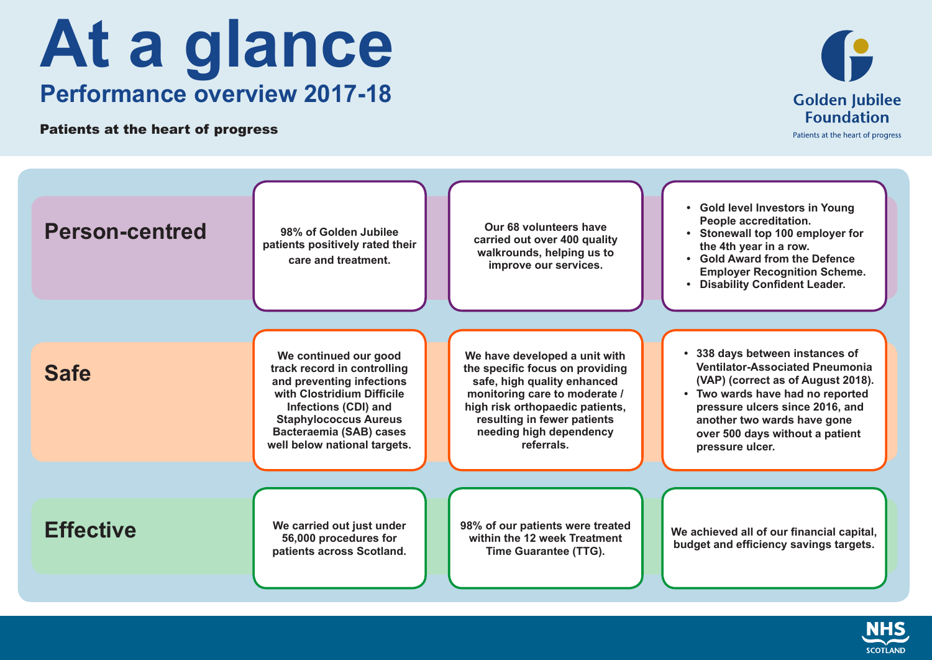## **At a glance Performance overview 2017-18**

Patients at the heart of progress



| <b>Person-centred</b> | 98% of Golden Jubilee<br>patients positively rated their<br>care and treatment.                                                                                                                                                           | Our 68 volunteers have<br>carried out over 400 quality<br>walkrounds, helping us to<br>improve our services.                                                                                                                                | • Gold level Investors in Young<br>People accreditation.<br>• Stonewall top 100 employer for<br>the 4th year in a row.<br>• Gold Award from the Defence<br><b>Employer Recognition Scheme.</b><br>• Disability Confident Leader.                                        |
|-----------------------|-------------------------------------------------------------------------------------------------------------------------------------------------------------------------------------------------------------------------------------------|---------------------------------------------------------------------------------------------------------------------------------------------------------------------------------------------------------------------------------------------|-------------------------------------------------------------------------------------------------------------------------------------------------------------------------------------------------------------------------------------------------------------------------|
| <b>Safe</b>           | We continued our good<br>track record in controlling<br>and preventing infections<br>with Clostridium Difficile<br><b>Infections (CDI) and</b><br><b>Staphylococcus Aureus</b><br>Bacteraemia (SAB) cases<br>well below national targets. | We have developed a unit with<br>the specific focus on providing<br>safe, high quality enhanced<br>monitoring care to moderate /<br>high risk orthopaedic patients,<br>resulting in fewer patients<br>needing high dependency<br>referrals. | 338 days between instances of<br><b>Ventilator-Associated Pneumonia</b><br>(VAP) (correct as of August 2018).<br>Two wards have had no reported<br>pressure ulcers since 2016, and<br>another two wards have gone<br>over 500 days without a patient<br>pressure ulcer. |
| <b>Effective</b>      | We carried out just under<br>56,000 procedures for<br>patients across Scotland.                                                                                                                                                           | 98% of our patients were treated<br>within the 12 week Treatment<br>Time Guarantee (TTG).                                                                                                                                                   | We achieved all of our financial capital,<br>budget and efficiency savings targets.                                                                                                                                                                                     |